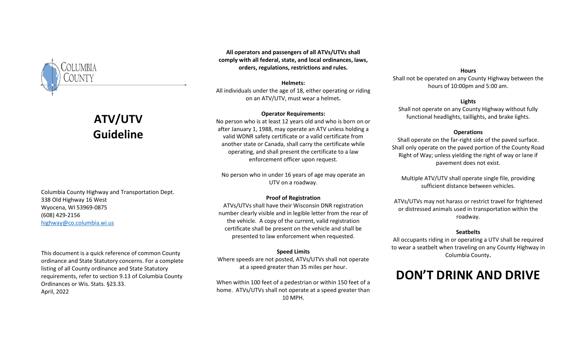

# **ATV/UTV Guideline**

Columbia County Highway and Transportation Dept. 338 Old Highway 16 West Wyocena, WI 53969-0875 (608) 429-2156 [highway@co.columbia.wi.us](mailto:highway@co.columbia.wi.us)

This document is a quick reference of common County ordinance and State Statutory concerns. For a complete listing of all County ordinance and State Statutory requirements, refer to section 9.13 of Columbia County Ordinances or Wis. Stats. §23.33. April, 2022

**All operators and passengers of all ATVs/UTVs shall comply with all federal, state, and local ordinances, laws, orders, regulations, restrictions and rules.**

#### **Helmets:**

All individuals under the age of 18, either operating or riding on an ATV/UTV, must wear a helmet**.**

#### **Operator Requirements:**

No person who is at least 12 years old and who is born on or after January 1, 1988, may operate an ATV unless holding a valid WDNR safety certificate or a valid certificate from another state or Canada, shall carry the certificate while operating, and shall present the certificate to a law enforcement officer upon request.

No person who in under 16 years of age may operate an UTV on a roadway.

## **Proof of Registration**

ATVs/UTVs shall have their Wisconsin DNR registration number clearly visible and in legible letter from the rear of the vehicle. A copy of the current, valid registration certificate shall be present on the vehicle and shall be presented to law enforcement when requested.

## **Speed Limits**

Where speeds are not posted, ATVs/UTVs shall not operate at a speed greater than 35 miles per hour.

When within 100 feet of a pedestrian or within 150 feet of a home. ATVs/UTVs shall not operate at a speed greater than 10 MPH.

#### **Hours**

Shall not be operated on any County Highway between the hours of 10:00pm and 5:00 am.

## **Lights**

Shall not operate on any County Highway without fully functional headlights, taillights, and brake lights.

#### **Operations**

Shall operate on the far-right side of the paved surface. Shall only operate on the paved portion of the County Road Right of Way; unless yielding the right of way or lane if pavement does not exist.

Multiple ATV/UTV shall operate single file, providing sufficient distance between vehicles.

ATVs/UTVs may not harass or restrict travel for frightened or distressed animals used in transportation within the roadway.

#### **Seatbelts**

All occupants riding in or operating a UTV shall be required to wear a seatbelt when traveling on any County Highway in Columbia County**.**

## **DON'T DRINK AND DRIVE**